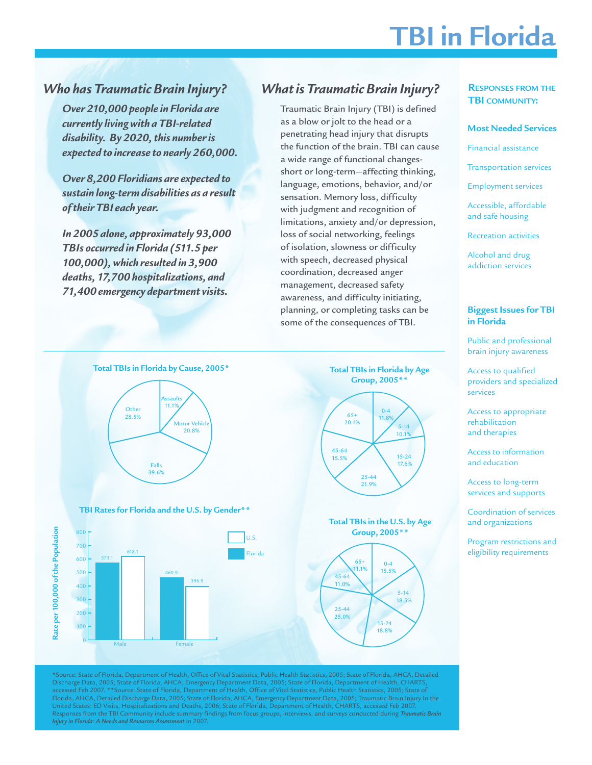# **TBI in Florida**

# *Who has Traumatic Brain Injury?*

*Over 210,000 people in Florida are currently living with a TBI-related disability. By 2020, this number is expected to increase to nearly 260,000.*

*Over 8,200 Floridians are expected to sustain long-term disabilities as a result of their TBI each year.*

*In 2005 alone, approximately 93,000 TBIs occurred in Florida (511.5 per 100,000), which resulted in 3,900 deaths, 17,700 hospitalizations, and 71,400 emergency department visits.* 

100

Male **Female** 

# *What is Traumatic Brain Injury?*

Traumatic Brain Injury (TBI) is defined as a blow or jolt to the head or a penetrating head injury that disrupts the function of the brain. TBI can cause a wide range of functional changesshort or long-term—affecting thinking, language, emotions, behavior, and/or sensation. Memory loss, difficulty with judgment and recognition of limitations, anxiety and/or depression, loss of social networking, feelings of isolation, slowness or difficulty with speech, decreased physical coordination, decreased anger management, decreased safety awareness, and difficulty initiating, planning, or completing tasks can be some of the consequences of TBI.

> 15-24 18.8%

### **RESPONSES FROM THE TBI COMMUNITY:**

#### **Most Needed Services**

Financial assistance

Transportation services

Employment services

Accessible, affordable and safe housing

Recreation activities

Alcohol and drug addiction services

#### **Biggest Issues for TBI in Florida**

Public and professional brain injury awareness

Access to qualified providers and specialized services

Access to appropriate rehabilitation and therapies

Access to information and education

Access to long-term services and supports

Coordination of services and organizations

Program restrictions and eligibility requirements



\*Source: State of Florida, Department of Health, Office of Vital Statistics, Public Health Statistics, 2005; State of Florida, AHCA, Detailed Discharge Data, 2005; State of Florida, AHCA, Emergency Department Data, 2005; State of Florida, Department of Health, CHARTS, accessed Feb 2007. \*\*Source: State of Florida, Department of Health, Office of Vital Statistics, Public Health Statistics, 2005; State of Florida, AHCA, Detailed Discharge Data, 2005; State of Florida, AHCA, Emergency Department Data, 2005; Traumatic Brain Injury In the United States: ED Visits, Hospitalizations and Deaths, 2006; State of Florida, Department of Health, CHARTS, accessed Feb 2007. Responses from the TBI Community include summary findings from focus groups, interviews, and surveys conducted during *Traumatic Brain Injury in Florida: A Needs and Resources Assessment* in 2007.